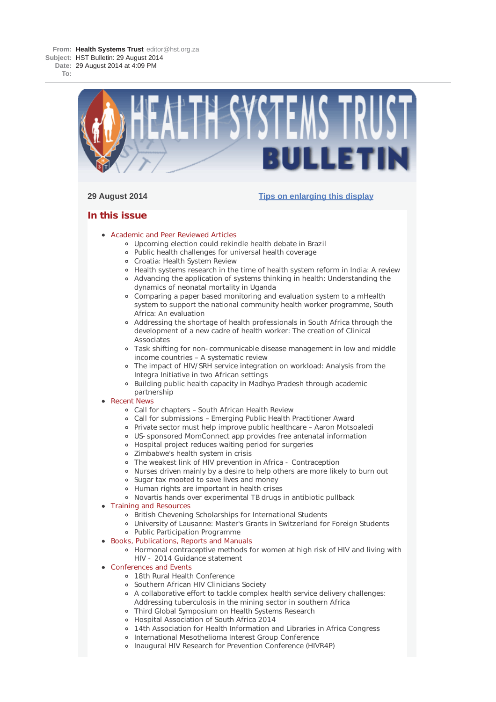**From: Health Systems Trust** editor@hst.org.za **Subject:** HST Bulletin: 29 August 2014 **Date:** 29 August 2014 at 4:09 PM

**To:**



# **29 August 2014 Tips on enlarging this display**

# **In this issue**

- **Academic and Peer Reviewed Articles** 
	- Upcoming election could rekindle health debate in Brazil
	- Public health challenges for universal health coverage
	- Croatia: Health System Review
	- Health systems research in the time of health system reform in India: A review
	- Advancing the application of systems thinking in health: Understanding the dynamics of neonatal mortality in Uganda
	- Comparing a paper based monitoring and evaluation system to a mHealth system to support the national community health worker programme, South Africa: An evaluation
	- Addressing the shortage of health professionals in South Africa through the development of a new cadre of health worker: The creation of Clinical Associates
	- Task shifting for non-communicable disease management in low and middle income countries – A systematic review
	- The impact of HIV/SRH service integration on workload: Analysis from the Integra Initiative in two African settings
	- Building public health capacity in Madhya Pradesh through academic partnership

## • Recent News

- Call for chapters South African Health Review
- Call for submissions Emerging Public Health Practitioner Award
- Private sector must help improve public healthcare Aaron Motsoaledi
- US-sponsored MomConnect app provides free antenatal information
- Hospital project reduces waiting period for surgeries
- Zimbabwe's health system in crisis
- The weakest link of HIV prevention in Africa Contraception
- Nurses driven mainly by a desire to help others are more likely to burn out
- Sugar tax mooted to save lives and money
- Human rights are important in health crises
- Novartis hands over experimental TB drugs in antibiotic pullback

# • Training and Resources

- British Chevening Scholarships for International Students
- University of Lausanne: Master's Grants in Switzerland for Foreign Students
- Public Participation Programme
- Books, Publications, Reports and Manuals
	- Hormonal contraceptive methods for women at high risk of HIV and living with HIV - 2014 Guidance statement
- Conferences and Events
	- 18th Rural Health Conference
	- Southern African HIV Clinicians Society
	- A collaborative effort to tackle complex health service delivery challenges: Addressing tuberculosis in the mining sector in southern Africa
	- Third Global Symposium on Health Systems Research
	- Hospital Association of South Africa 2014
	- 14th Association for Health Information and Libraries in Africa Congress
	- o International Mesothelioma Interest Group Conference
	- Inaugural HIV Research for Prevention Conference (HIVR4P)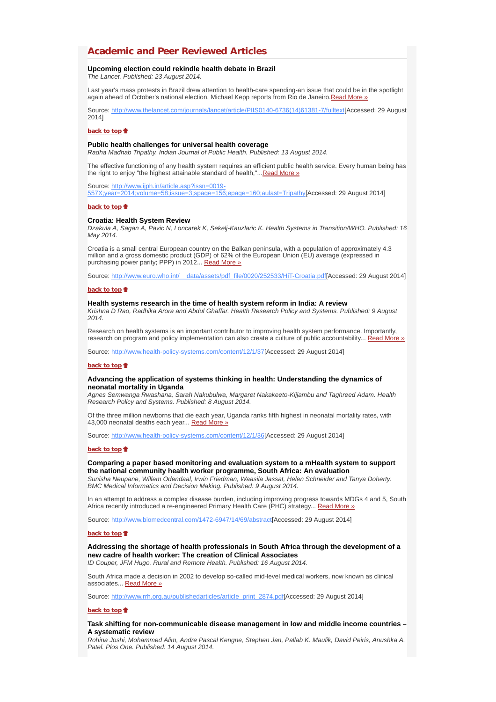# **Academic and Peer Reviewed Articles**

## **Upcoming election could rekindle health debate in Brazil**

*The Lancet. Published: 23 August 2014.*

Last year's mass protests in Brazil drew attention to health-care spending-an issue that could be in the spotlight again ahead of October's national election. Michael Kepp reports from Rio de Janeiro.Read More »

Source: http://www.thelancet.com/journals/lancet/article/PIIS0140-6736(14)61381-7/fulltext[Accessed: 29 August 2014]

## **back to top**

### **Public health challenges for universal health coverage**

*Radha Madhab Tripathy. Indian Journal of Public Health. Published: 13 August 2014.*

The effective functioning of any health system requires an efficient public health service. Every human being has the right to enjoy "the highest attainable standard of health,"... Read More »

Source: http://www.ijph.in/article.asp?issn=0019-

557X;year=2014;volume=58;issue=3;spage=156;epage=160;aulast=Tripathy[Accessed: 29 August 2014]

### **back to top**

# **Croatia: Health System Review**

*Dzakula A, Sagan A, Pavic N, Loncarek K, Sekelj-Kauzlaric K. Health Systems in Transition/WHO. Published: 16 May 2014.*

Croatia is a small central European country on the Balkan peninsula, with a population of approximately 4.3 million and a gross domestic product (GDP) of 62% of the European Union (EU) average (expressed in purchasing power parity; PPP) in 2012... Read More »

Source: http://www.euro.who.int/ data/assets/pdf\_file/0020/252533/HiT-Croatia.pdf[Accessed: 29 August 2014]

#### **back to top**

#### **Health systems research in the time of health system reform in India: A review**

*Krishna D Rao, Radhika Arora and Abdul Ghaffar. Health Research Policy and Systems. Published: 9 August 2014.*

Research on health systems is an important contributor to improving health system performance. Importantly, research on program and policy implementation can also create a culture of public accountability... Read More »

Source: http://www.health-policy-systems.com/content/12/1/37[Accessed: 29 August 2014]

#### **back to top**

## **Advancing the application of systems thinking in health: Understanding the dynamics of neonatal mortality in Uganda**

*Agnes Semwanga Rwashana, Sarah Nakubulwa, Margaret Nakakeeto-Kijjambu and Taghreed Adam. Health Research Policy and Systems. Published: 8 August 2014.*

Of the three million newborns that die each year, Uganda ranks fifth highest in neonatal mortality rates, with 43,000 neonatal deaths each year... Read More »

Source: http://www.health-policy-systems.com/content/12/1/36[Accessed: 29 August 2014]

#### **back to top**

## **Comparing a paper based monitoring and evaluation system to a mHealth system to support the national community health worker programme, South Africa: An evaluation**

*Sunisha Neupane, Willem Odendaal, Irwin Friedman, Waasila Jassat, Helen Schneider and Tanya Doherty. BMC Medical Informatics and Decision Making. Published: 9 August 2014.*

In an attempt to address a complex disease burden, including improving progress towards MDGs 4 and 5, South Africa recently introduced a re-engineered Primary Health Care (PHC) strategy... Read More »

Source: http://www.biomedcentral.com/1472-6947/14/69/abstract[Accessed: 29 August 2014]

#### **back to top**

**Addressing the shortage of health professionals in South Africa through the development of a new cadre of health worker: The creation of Clinical Associates** *ID Couper, JFM Hugo. Rural and Remote Health. Published: 16 August 2014.*

South Africa made a decision in 2002 to develop so-called mid-level medical workers, now known as clinical associates... Read More »

Source: http://www.rrh.org.au/publishedarticles/article\_print\_2874.pdf[Accessed: 29 August 2014]

#### **back to top**

### **Task shifting for non-communicable disease management in low and middle income countries – A systematic review**

*Rohina Joshi, Mohammed Alim, Andre Pascal Kengne, Stephen Jan, Pallab K. Maulik, David Peiris, Anushka A. Patel. Plos One. Published: 14 August 2014.*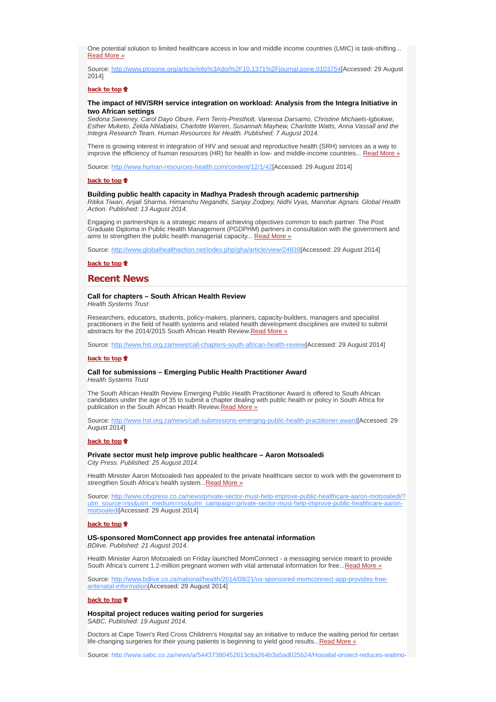One potential solution to limited healthcare access in low and middle income countries (LMIC) is task-shifting... Read More »

Source: http://www.plosone.org/article/info%3Adoi%2F10.1371%2Fjournal.pone.0103754[Accessed: 29 August 2014]

## **back to top**

## **The impact of HIV/SRH service integration on workload: Analysis from the Integra Initiative in two African settings**

*Sedona Sweeney, Carol Dayo Obure, Fern Terris-Prestholt, Vanessa Darsamo, Christine Michaels-Igbokwe, Esther Muketo, Zelda Nhlabatsi, Charlotte Warren, Susannah Mayhew, Charlotte Watts, Anna Vassall and the Integra Research Team. Human Resources for Health. Published: 7 August 2014.*

There is growing interest in integration of HIV and sexual and reproductive health (SRH) services as a way to improve the efficiency of human resources (HR) for health in low- and middle-income countries... Read More »

Source: http://www.human-resources-health.com/content/12/1/42[Accessed: 29 August 2014]

## **back to top**

## **Building public health capacity in Madhya Pradesh through academic partnership**

*Ritika Tiwari, Anjali Sharma, Himanshu Negandhi, Sanjay Zodpey, Nidhi Vyas, Manohar Agnani. Global Health Action. Published: 13 August 2014.*

Engaging in partnerships is a strategic means of achieving objectives common to each partner. The Post Graduate Diploma in Public Health Management (PGDPHM) partners in consultation with the government and aims to strengthen the public health managerial capacity... Read More »

Source: http://www.globalhealthaction.net/index.php/gha/article/view/24839[Accessed: 29 August 2014]

#### **back to top**

## **Recent News**

# **Call for chapters – South African Health Review**

*Health Systems Trust*

Researchers, educators, students, policy-makers, planners, capacity-builders, managers and specialist practitioners in the field of health systems and related health development disciplines are invited to submit abstracts for the 2014/2015 South African Health Review. Read More »

Source: http://www.hst.org.za/news/call-chapters-south-african-health-review[Accessed: 29 August 2014]

## **back to top**

#### **Call for submissions – Emerging Public Health Practitioner Award** *Health Systems Trust*

The South African Health Review Emerging Public Health Practitioner Award is offered to South African candidates under the age of 35 to submit a chapter dealing with public health or policy in South Africa for publication in the South African Health Review.Read More »

Source: http://www.hst.org.za/news/call-submissions-emerging-public-health-practitioner-award[Accessed: 29 August 2014]

#### **back to top**

### **Private sector must help improve public healthcare – Aaron Motsoaledi** *City Press. Published: 25 August 2014.*

Health Minister Aaron Motsoaledi has appealed to the private healthcare sector to work with the government to strengthen South Africa's health system...Read More »

Source: http://www.citypress.co.za/news/private-sector-must-help-improve-public-healthcare-aaron-motsoaledi/? utm\_source=rss&utm\_medium=rss&utm\_campaign=private-sector-must-help-improve-public-healthcare-aaronmotsoaledi[Accessed: 29 August 2014]

### **back to top**

## **US-sponsored MomConnect app provides free antenatal information**

*BDlive. Published: 21 August 2014.*

Health Minister Aaron Motsoaledi on Friday launched MomConnect - a messaging service meant to provide South Africa's current 1.2-million pregnant women with vital antenatal information for free...Read More »

Source: http://www.bdlive.co.za/national/health/2014/08/21/us-sponsored-momconnect-app-provides-freeantenatal-information[Accessed: 29 August 2014]

#### **back to top**

**Hospital project reduces waiting period for surgeries** *SABC. Published: 19 August 2014.*

Doctors at Cape Town's Red Cross Children's Hospital say an initiative to reduce the waiting period for certain life-changing surgeries for their young patients is beginning to yield good results...Read More »

Source: http://www.sabc.co.za/news/a/54437380452613c6a264b3a5ad025b24/Hospital-project-reduces-waiting-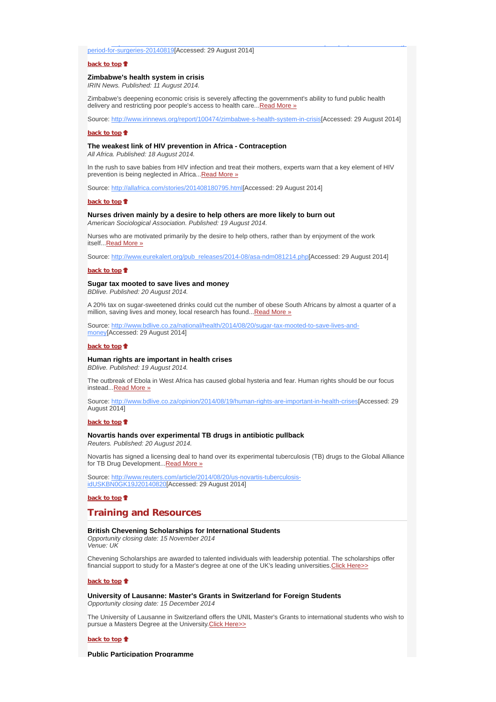period-for-surgeries-20140819[Accessed: 29 August 2014]

## **back to top**<sup> $\bullet$ </sup>

## **Zimbabwe's health system in crisis**

*IRIN News. Published: 11 August 2014.*

Zimbabwe's deepening economic crisis is severely affecting the government's ability to fund public health delivery and restricting poor people's access to health care... Read More »

Source: http://www.irinnews.org/report/100474/zimbabwe-s-health-system-in-crisis[Accessed: 29 August 2014]

p pj grunde state i den state state i den state i den state i den state i den state i den state i den state i

#### **back to top**

## **The weakest link of HIV prevention in Africa - Contraception**

*All Africa. Published: 18 August 2014.*

In the rush to save babies from HIV infection and treat their mothers, experts warn that a key element of HIV prevention is being neglected in Africa... Read More »

Source: http://allafrica.com/stories/201408180795.html[Accessed: 29 August 2014]

#### **back to top**

## **Nurses driven mainly by a desire to help others are more likely to burn out** *American Sociological Association. Published: 19 August 2014.*

Nurses who are motivated primarily by the desire to help others, rather than by enjoyment of the work itself...Read More »

Source: http://www.eurekalert.org/pub\_releases/2014-08/asa-ndm081214.php[Accessed: 29 August 2014]

#### **back to top**

## **Sugar tax mooted to save lives and money**

*BDlive. Published: 20 August 2014.*

A 20% tax on sugar-sweetened drinks could cut the number of obese South Africans by almost a quarter of a million, saving lives and money, local research has found...Read More »

Source: http://www.bdlive.co.za/national/health/2014/08/20/sugar-tax-mooted-to-save-lives-andmoney[Accessed: 29 August 2014]

#### **back to top**

## **Human rights are important in health crises**

*BDlive. Published: 19 August 2014.*

The outbreak of Ebola in West Africa has caused global hysteria and fear. Human rights should be our focus instead... Read More »

Source: http://www.bdlive.co.za/opinion/2014/08/19/human-rights-are-important-in-health-crises[Accessed: 29 August 2014]

### **back to top**

## **Novartis hands over experimental TB drugs in antibiotic pullback**

*Reuters. Published: 20 August 2014.*

Novartis has signed a licensing deal to hand over its experimental tuberculosis (TB) drugs to the Global Alliance for TB Drug Development...Read More »

Source: http://www.reuters.com/article/2014/08/20/us-novartis-tuberculosisidUSKBN0GK19J20140820[Accessed: 29 August 2014]

**back to top**

# **Training and Resources**

### **British Chevening Scholarships for International Students**

*Opportunity closing date: 15 November 2014 Venue: UK*

Chevening Scholarships are awarded to talented individuals with leadership potential. The scholarships offer financial support to study for a Master's degree at one of the UK's leading universities. Click Here>>

## back to top <sup>+</sup>

**University of Lausanne: Master's Grants in Switzerland for Foreign Students** *Opportunity closing date: 15 December 2014*

The University of Lausanne in Switzerland offers the UNIL Master's Grants to international students who wish to pursue a Masters Degree at the University. Click Here>>

## **back to top**

### **Public Participation Programme**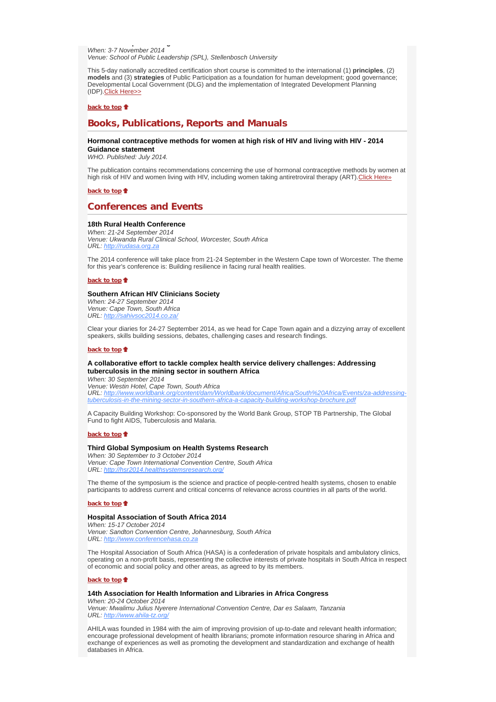**p g** *When: 3-7 November 2014 Venue: School of Public Leadership (SPL), Stellenbosch University*

This 5-day nationally accredited certification short course is committed to the international (1) **principles**, (2) **models** and (3) **strategies** of Public Participation as a foundation for human development; good governance; Developmental Local Government (DLG) and the implementation of Integrated Development Planning (IDP).Click Here>>

**back to top**

# **Books, Publications, Reports and Manuals**

## **Hormonal contraceptive methods for women at high risk of HIV and living with HIV - 2014 Guidance statement**

*WHO. Published: July 2014.*

The publication contains recommendations concerning the use of hormonal contraceptive methods by women at high risk of HIV and women living with HIV, including women taking antiretroviral therapy (ART). Click Here»

**back to top**

# **Conferences and Events**

## **18th Rural Health Conference**

*When: 21-24 September 2014 Venue: Ukwanda Rural Clinical School, Worcester, South Africa URL: http://rudasa.org.za*

The 2014 conference will take place from 21-24 September in the Western Cape town of Worcester. The theme for this year's conference is: Building resilience in facing rural health realities.

**back to top**

### **Southern African HIV Clinicians Society**

*When: 24-27 September 2014 Venue: Cape Town, South Africa URL: http://sahivsoc2014.co.za/*

Clear your diaries for 24-27 September 2014, as we head for Cape Town again and a dizzying array of excellent speakers, skills building sessions, debates, challenging cases and research findings.

#### **back to top**

## **A collaborative effort to tackle complex health service delivery challenges: Addressing tuberculosis in the mining sector in southern Africa**

*When: 30 September 2014 Venue: Westin Hotel, Cape Town, South Africa*

*URL: http://www.worldbank.org/content/dam/Worldbank/document/Africa/South%20Africa/Events/za-addressingtuberculosis-in-the-mining-sector-in-southern-africa-a-capacity-building-workshop-brochure.pdf*

A Capacity Building Workshop: Co-sponsored by the World Bank Group, STOP TB Partnership, The Global Fund to fight AIDS, Tuberculosis and Malaria.

### **back to top**

## **Third Global Symposium on Health Systems Research**

*When: 30 September to 3 October 2014 Venue: Cape Town International Convention Centre, South Africa URL: http://hsr2014.healthsystemsresearch.org/*

The theme of the symposium is the science and practice of people-centred health systems, chosen to enable participants to address current and critical concerns of relevance across countries in all parts of the world.

#### **back to top**

## **Hospital Association of South Africa 2014**

*When: 15-17 October 2014 Venue: Sandton Convention Centre, Johannesburg, South Africa URL: http://www.conferencehasa.co.za*

The Hospital Association of South Africa (HASA) is a confederation of private hospitals and ambulatory clinics, operating on a non-profit basis, representing the collective interests of private hospitals in South Africa in respect of economic and social policy and other areas, as agreed to by its members.

### **back to top**

## **14th Association for Health Information and Libraries in Africa Congress**

*When: 20-24 October 2014 Venue: Mwalimu Julius Nyerere International Convention Centre, Dar es Salaam, Tanzania URL: http://www.ahila-tz.org/*

AHILA was founded in 1984 with the aim of improving provision of up-to-date and relevant health information; encourage professional development of health librarians; promote information resource sharing in Africa and exchange of experiences as well as promoting the development and standardization and exchange of health databases in Africa.